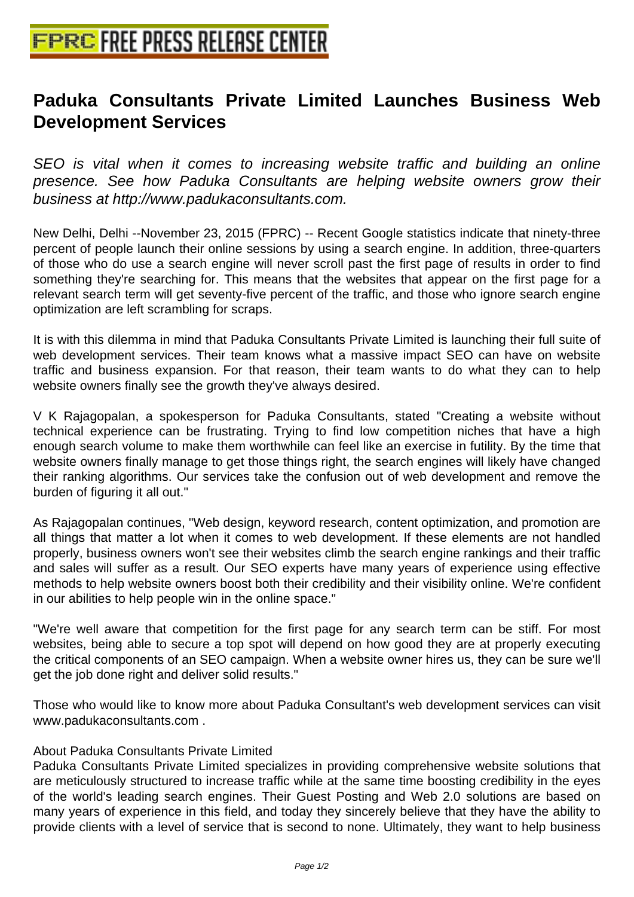## **[Paduka Consultants Private Lim](http://www.free-press-release-center.info)ited Launches Business Web Development Services**

SEO is vital when it comes to increasing website traffic and building an online presence. See how Paduka Consultants are helping website owners grow their business at http://www.padukaconsultants.com.

New Delhi, Delhi --November 23, 2015 (FPRC) -- Recent Google statistics indicate that ninety-three percent of people launch their online sessions by using a search engine. In addition, three-quarters of those who do use a search engine will never scroll past the first page of results in order to find something they're searching for. This means that the websites that appear on the first page for a relevant search term will get seventy-five percent of the traffic, and those who ignore search engine optimization are left scrambling for scraps.

It is with this dilemma in mind that Paduka Consultants Private Limited is launching their full suite of web development services. Their team knows what a massive impact SEO can have on website traffic and business expansion. For that reason, their team wants to do what they can to help website owners finally see the growth they've always desired.

V K Rajagopalan, a spokesperson for Paduka Consultants, stated "Creating a website without technical experience can be frustrating. Trying to find low competition niches that have a high enough search volume to make them worthwhile can feel like an exercise in futility. By the time that website owners finally manage to get those things right, the search engines will likely have changed their ranking algorithms. Our services take the confusion out of web development and remove the burden of figuring it all out."

As Rajagopalan continues, "Web design, keyword research, content optimization, and promotion are all things that matter a lot when it comes to web development. If these elements are not handled properly, business owners won't see their websites climb the search engine rankings and their traffic and sales will suffer as a result. Our SEO experts have many years of experience using effective methods to help website owners boost both their credibility and their visibility online. We're confident in our abilities to help people win in the online space."

"We're well aware that competition for the first page for any search term can be stiff. For most websites, being able to secure a top spot will depend on how good they are at properly executing the critical components of an SEO campaign. When a website owner hires us, they can be sure we'll get the job done right and deliver solid results."

Those who would like to know more about Paduka Consultant's web development services can visit www.padukaconsultants.com .

## About Paduka Consultants Private Limited

Paduka Consultants Private Limited specializes in providing comprehensive website solutions that are meticulously structured to increase traffic while at the same time boosting credibility in the eyes of the world's leading search engines. Their Guest Posting and Web 2.0 solutions are based on many years of experience in this field, and today they sincerely believe that they have the ability to provide clients with a level of service that is second to none. Ultimately, they want to help business